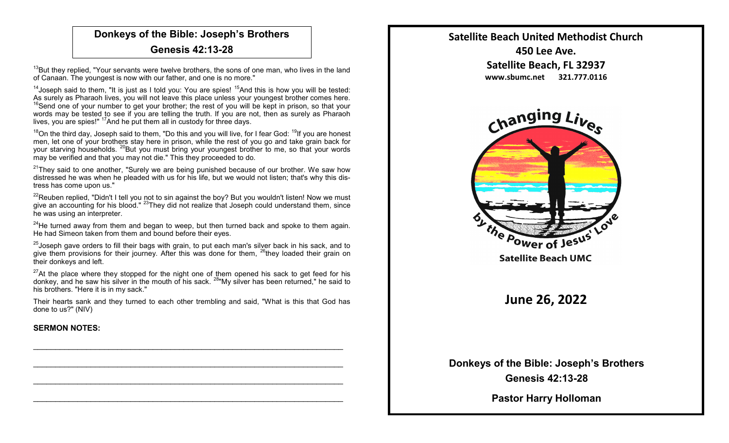## **Donkeys of the Bible: Joseph's Brothers Genesis 42:13-28**

 $13$ But they replied, "Your servants were twelve brothers, the sons of one man, who lives in the land of Canaan. The youngest is now with our father, and one is no more."

<sup>14</sup> Joseph said to them, "It is just as I told you: You are spies!  $15$ And this is how you will be tested: As surely as Pharaoh lives, you will not leave this place unless your youngest brother comes here.  $16$ Send one of your number to get your brother; the rest of you will be kept in prison, so that your words may be tested to see if you are telling the truth. If you are not, then as surely as Pharaoh lives, you are spies!" <sup>17</sup>And he put them all in custody for three days.

 $18$ On the third day, Joseph said to them, "Do this and you will live, for I fear God:  $19$ If you are honest men, let one of your brothers stay here in prison, while the rest of you go and take grain back for your starving households. <sup>20</sup>But you must bring your youngest brother to me, so that your words may be verified and that you may not die." This they proceeded to do.

 $21$ They said to one another, "Surely we are being punished because of our brother. We saw how distressed he was when he pleaded with us for his life, but we would not listen; that's why this distress has come upon us."

 $22$ Reuben replied, "Didn't I tell you not to sin against the boy? But you wouldn't listen! Now we must give an accounting for his blood." <sup>23</sup>They did not realize that Joseph could understand them, since he was using an interpreter.

 $24$ He turned away from them and began to weep, but then turned back and spoke to them again. He had Simeon taken from them and bound before their eves.

 $25$ Joseph gave orders to fill their bags with grain, to put each man's silver back in his sack, and to give them provisions for their journey. After this was done for them, <sup>26</sup>they loaded their grain on their donkeys and left.

 $27$ At the place where they stopped for the night one of them opened his sack to get feed for his donkey, and he saw his silver in the mouth of his sack. <sup>28"</sup>My silver has been returned," he said to his brothers. "Here it is in my sack."

Their hearts sank and they turned to each other trembling and said, "What is this that God has done to us?" (NIV)

 $\mathcal{L}_\text{max}$  and  $\mathcal{L}_\text{max}$  and  $\mathcal{L}_\text{max}$  and  $\mathcal{L}_\text{max}$  and  $\mathcal{L}_\text{max}$  and  $\mathcal{L}_\text{max}$ 

 $\mathcal{L}_\text{max}$  and  $\mathcal{L}_\text{max}$  and  $\mathcal{L}_\text{max}$  and  $\mathcal{L}_\text{max}$  and  $\mathcal{L}_\text{max}$  and  $\mathcal{L}_\text{max}$ 

 $\mathcal{L}_\text{max}$  and  $\mathcal{L}_\text{max}$  and  $\mathcal{L}_\text{max}$  and  $\mathcal{L}_\text{max}$  and  $\mathcal{L}_\text{max}$  and  $\mathcal{L}_\text{max}$ 

 $\mathcal{L}_\text{max}$  and  $\mathcal{L}_\text{max}$  and  $\mathcal{L}_\text{max}$  and  $\mathcal{L}_\text{max}$  and  $\mathcal{L}_\text{max}$  and  $\mathcal{L}_\text{max}$ 

## **SERMON NOTES:**



**Donkeys of the Bible: Joseph's Brothers Genesis 42:13-28**

**Pastor Harry Holloman**